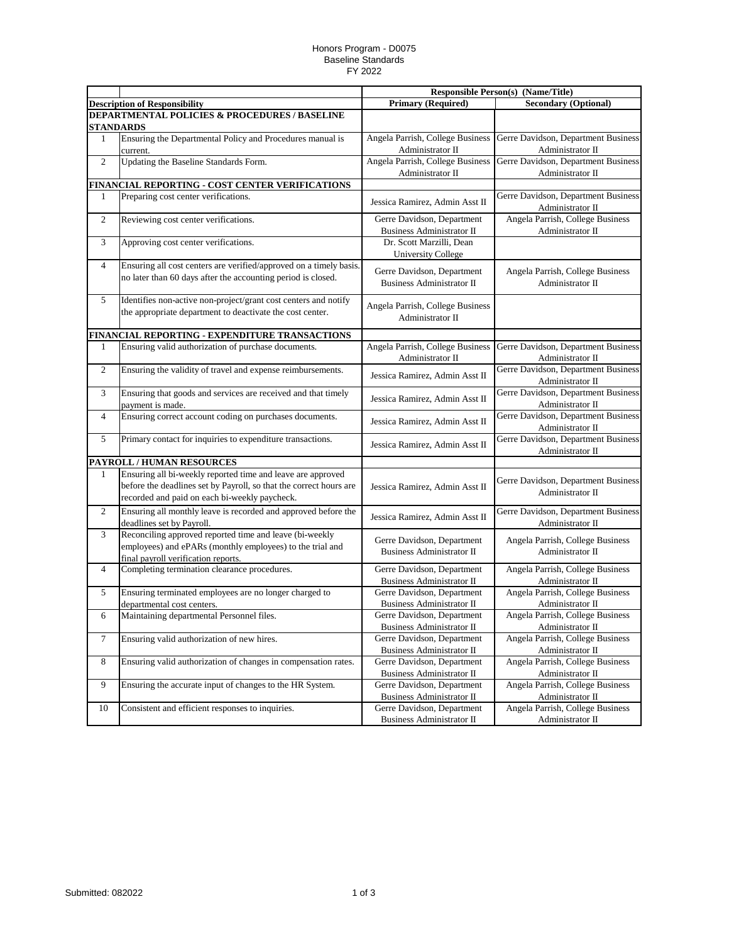## Honors Program - D0075 Baseline Standards FY 2022

|                  |                                                                                                                                                                                    | <b>Responsible Person(s) (Name/Title)</b>                      |                                                         |
|------------------|------------------------------------------------------------------------------------------------------------------------------------------------------------------------------------|----------------------------------------------------------------|---------------------------------------------------------|
|                  | <b>Description of Responsibility</b>                                                                                                                                               | <b>Primary (Required)</b>                                      | <b>Secondary (Optional)</b>                             |
|                  | <b>DEPARTMENTAL POLICIES &amp; PROCEDURES / BASELINE</b><br><b>STANDARDS</b>                                                                                                       |                                                                |                                                         |
| 1                | Ensuring the Departmental Policy and Procedures manual is<br>current.                                                                                                              | Angela Parrish, College Business<br>Administrator II           | Gerre Davidson, Department Business<br>Administrator II |
| $\sqrt{2}$       | Updating the Baseline Standards Form.                                                                                                                                              | Angela Parrish, College Business<br>Administrator II           | Gerre Davidson, Department Business<br>Administrator II |
|                  | FINANCIAL REPORTING - COST CENTER VERIFICATIONS                                                                                                                                    |                                                                |                                                         |
| 1                | Preparing cost center verifications.                                                                                                                                               | Jessica Ramirez, Admin Asst II                                 | Gerre Davidson, Department Business<br>Administrator II |
| 2                | Reviewing cost center verifications.                                                                                                                                               | Gerre Davidson, Department<br><b>Business Administrator II</b> | Angela Parrish, College Business<br>Administrator II    |
| 3                | Approving cost center verifications.                                                                                                                                               | Dr. Scott Marzilli, Dean<br><b>University College</b>          |                                                         |
| $\overline{4}$   | Ensuring all cost centers are verified/approved on a timely basis.<br>no later than 60 days after the accounting period is closed.                                                 | Gerre Davidson, Department<br><b>Business Administrator II</b> | Angela Parrish, College Business<br>Administrator II    |
| 5                | Identifies non-active non-project/grant cost centers and notify<br>the appropriate department to deactivate the cost center.                                                       | Angela Parrish, College Business<br>Administrator II           |                                                         |
|                  | FINANCIAL REPORTING - EXPENDITURE TRANSACTIONS                                                                                                                                     |                                                                |                                                         |
| 1                | Ensuring valid authorization of purchase documents.                                                                                                                                | Angela Parrish, College Business<br>Administrator II           | Gerre Davidson, Department Business<br>Administrator II |
| 2                | Ensuring the validity of travel and expense reimbursements.                                                                                                                        | Jessica Ramirez, Admin Asst II                                 | Gerre Davidson, Department Business<br>Administrator II |
| 3                | Ensuring that goods and services are received and that timely<br>payment is made.                                                                                                  | Jessica Ramirez, Admin Asst II                                 | Gerre Davidson, Department Business<br>Administrator II |
| 4                | Ensuring correct account coding on purchases documents.                                                                                                                            | Jessica Ramirez, Admin Asst II                                 | Gerre Davidson, Department Business<br>Administrator II |
| 5                | Primary contact for inquiries to expenditure transactions.                                                                                                                         | Jessica Ramirez, Admin Asst II                                 | Gerre Davidson, Department Business<br>Administrator II |
|                  | PAYROLL / HUMAN RESOURCES                                                                                                                                                          |                                                                |                                                         |
| 1                | Ensuring all bi-weekly reported time and leave are approved<br>before the deadlines set by Payroll, so that the correct hours are<br>recorded and paid on each bi-weekly paycheck. | Jessica Ramirez, Admin Asst II                                 | Gerre Davidson, Department Business<br>Administrator II |
| 2                | Ensuring all monthly leave is recorded and approved before the<br>deadlines set by Payroll.                                                                                        | Jessica Ramirez, Admin Asst II                                 | Gerre Davidson, Department Business<br>Administrator II |
| 3                | Reconciling approved reported time and leave (bi-weekly<br>employees) and ePARs (monthly employees) to the trial and<br>final payroll verification reports.                        | Gerre Davidson, Department<br><b>Business Administrator II</b> | Angela Parrish, College Business<br>Administrator II    |
| 4                | Completing termination clearance procedures.                                                                                                                                       | Gerre Davidson, Department<br><b>Business Administrator II</b> | Angela Parrish, College Business<br>Administrator II    |
| 5                | Ensuring terminated employees are no longer charged to<br>departmental cost centers.                                                                                               | Gerre Davidson, Department<br>Business Administrator II        | Angela Parrish, College Business<br>Administrator II    |
| 6                | Maintaining departmental Personnel files.                                                                                                                                          | Gerre Davidson, Department<br><b>Business Administrator II</b> | Angela Parrish, College Business<br>Administrator II    |
| $\boldsymbol{7}$ | Ensuring valid authorization of new hires.                                                                                                                                         | Gerre Davidson, Department<br>Business Administrator II        | Angela Parrish, College Business<br>Administrator II    |
| $8\,$            | Ensuring valid authorization of changes in compensation rates.                                                                                                                     | Gerre Davidson, Department<br>Business Administrator II        | Angela Parrish, College Business<br>Administrator II    |
| 9                | Ensuring the accurate input of changes to the HR System.                                                                                                                           | Gerre Davidson, Department<br>Business Administrator II        | Angela Parrish, College Business<br>Administrator II    |
| 10               | Consistent and efficient responses to inquiries.                                                                                                                                   | Gerre Davidson, Department<br>Business Administrator II        | Angela Parrish, College Business<br>Administrator II    |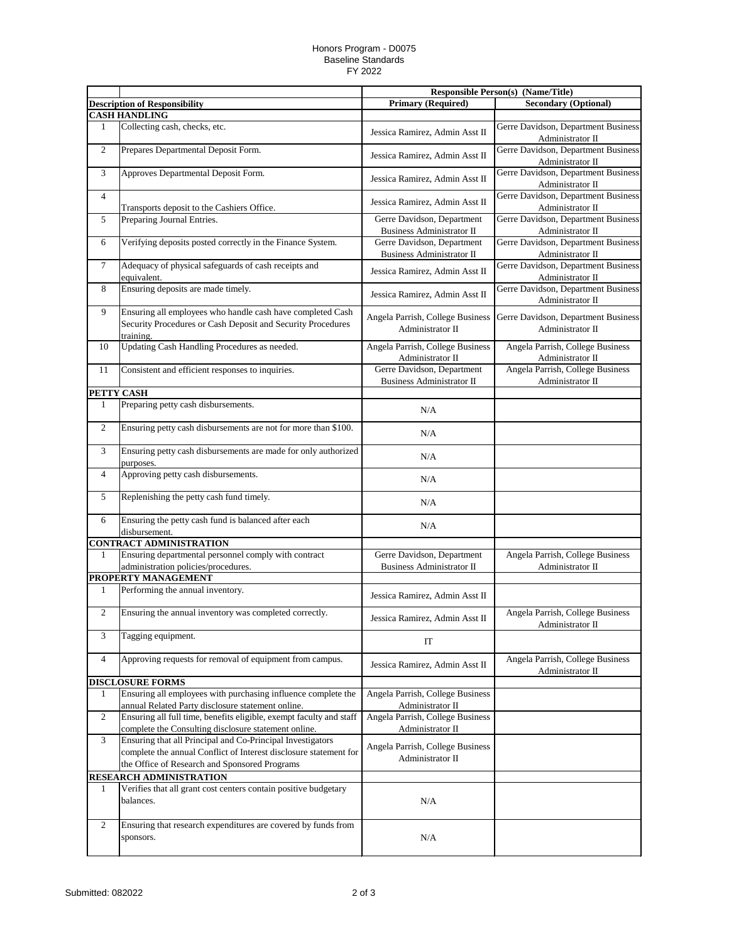## Honors Program - D0075 Baseline Standards FY 2022

|                |                                                                                                                                                                                  |                                                                | <b>Responsible Person(s) (Name/Title)</b>               |
|----------------|----------------------------------------------------------------------------------------------------------------------------------------------------------------------------------|----------------------------------------------------------------|---------------------------------------------------------|
|                | <b>Description of Responsibility</b>                                                                                                                                             | <b>Primary (Required)</b>                                      | <b>Secondary (Optional)</b>                             |
|                | <b>CASH HANDLING</b>                                                                                                                                                             |                                                                |                                                         |
| 1              | Collecting cash, checks, etc.                                                                                                                                                    | Jessica Ramirez, Admin Asst II                                 | Gerre Davidson, Department Business<br>Administrator II |
| $\overline{2}$ | Prepares Departmental Deposit Form.                                                                                                                                              | Jessica Ramirez, Admin Asst II                                 | Gerre Davidson, Department Business<br>Administrator II |
| 3              | Approves Departmental Deposit Form.                                                                                                                                              | Jessica Ramirez, Admin Asst II                                 | Gerre Davidson, Department Business<br>Administrator II |
| 4              | Transports deposit to the Cashiers Office.                                                                                                                                       | Jessica Ramirez, Admin Asst II                                 | Gerre Davidson, Department Business<br>Administrator II |
| 5              | Preparing Journal Entries.                                                                                                                                                       | Gerre Davidson, Department<br><b>Business Administrator II</b> | Gerre Davidson, Department Business<br>Administrator II |
| 6              | Verifying deposits posted correctly in the Finance System.                                                                                                                       | Gerre Davidson, Department<br>Business Administrator II        | Gerre Davidson, Department Business<br>Administrator II |
| $\tau$         | Adequacy of physical safeguards of cash receipts and<br>equivalent.                                                                                                              | Jessica Ramirez, Admin Asst II                                 | Gerre Davidson, Department Business<br>Administrator II |
| 8              | Ensuring deposits are made timely.                                                                                                                                               | Jessica Ramirez, Admin Asst II                                 | Gerre Davidson, Department Business<br>Administrator II |
| 9              | Ensuring all employees who handle cash have completed Cash<br>Security Procedures or Cash Deposit and Security Procedures<br>training.                                           | Angela Parrish, College Business<br>Administrator II           | Gerre Davidson, Department Business<br>Administrator II |
| 10             | Updating Cash Handling Procedures as needed.                                                                                                                                     | Angela Parrish, College Business<br>Administrator II           | Angela Parrish, College Business<br>Administrator II    |
| 11             | Consistent and efficient responses to inquiries.                                                                                                                                 | Gerre Davidson, Department                                     | Angela Parrish, College Business                        |
|                |                                                                                                                                                                                  | <b>Business Administrator II</b>                               | Administrator II                                        |
| PETTY CASH     |                                                                                                                                                                                  |                                                                |                                                         |
| 1              | Preparing petty cash disbursements.                                                                                                                                              | N/A                                                            |                                                         |
| $\overline{2}$ | Ensuring petty cash disbursements are not for more than \$100.                                                                                                                   | N/A                                                            |                                                         |
| 3              | Ensuring petty cash disbursements are made for only authorized<br>purposes.                                                                                                      | N/A                                                            |                                                         |
| 4              | Approving petty cash disbursements.                                                                                                                                              | N/A                                                            |                                                         |
| 5              | Replenishing the petty cash fund timely.                                                                                                                                         | N/A                                                            |                                                         |
| 6              | Ensuring the petty cash fund is balanced after each<br>disbursement.                                                                                                             | N/A                                                            |                                                         |
|                | <b>CONTRACT ADMINISTRATION</b>                                                                                                                                                   |                                                                |                                                         |
| 1              | Ensuring departmental personnel comply with contract<br>administration policies/procedures.                                                                                      | Gerre Davidson, Department<br><b>Business Administrator II</b> | Angela Parrish, College Business<br>Administrator II    |
|                | PROPERTY MANAGEMENT                                                                                                                                                              |                                                                |                                                         |
| $\mathbf{1}$   | Performing the annual inventory.                                                                                                                                                 | Jessica Ramirez, Admin Asst II                                 |                                                         |
| $\overline{2}$ | Ensuring the annual inventory was completed correctly.                                                                                                                           | Jessica Ramirez, Admin Asst II                                 | Angela Parrish, College Business<br>Administrator II    |
| 3              | Tagging equipment.                                                                                                                                                               | IT                                                             |                                                         |
| 4              | Approving requests for removal of equipment from campus.                                                                                                                         | Jessica Ramirez, Admin Asst II                                 | Angela Parrish, College Business<br>Administrator II    |
|                | <b>DISCLOSURE FORMS</b>                                                                                                                                                          |                                                                |                                                         |
| 1              | Ensuring all employees with purchasing influence complete the<br>annual Related Party disclosure statement online.                                                               | Angela Parrish, College Business<br>Administrator II           |                                                         |
| 2              | Ensuring all full time, benefits eligible, exempt faculty and staff<br>complete the Consulting disclosure statement online.                                                      | Angela Parrish, College Business<br>Administrator II           |                                                         |
| 3              | Ensuring that all Principal and Co-Principal Investigators<br>complete the annual Conflict of Interest disclosure statement for<br>the Office of Research and Sponsored Programs | Angela Parrish, College Business<br>Administrator II           |                                                         |
|                | RESEARCH ADMINISTRATION                                                                                                                                                          |                                                                |                                                         |
| 1              | Verifies that all grant cost centers contain positive budgetary<br>balances.                                                                                                     | N/A                                                            |                                                         |
| $\overline{2}$ | Ensuring that research expenditures are covered by funds from<br>sponsors.                                                                                                       | N/A                                                            |                                                         |